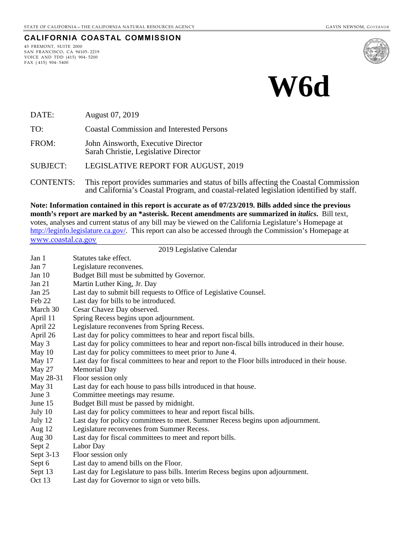#### **CALIFORNIA COASTAL COMMISSION**

45 FREMONT, SUITE 2000 SAN FRANCISCO, CA 94105- 2219 VOICE AND TDD (415) 904- 5200 FAX ( 415) 904- 5400



# **W6d**

DATE: August 07, 2019

TO: Coastal Commission and Interested Persons

FROM: John Ainsworth, Executive Director Sarah Christie, Legislative Director

SUBJECT: LEGISLATIVE REPORT FOR AUGUST, 2019

CONTENTS: This report provides summaries and status of bills affecting the Coastal Commission and California's Coastal Program, and coastal-related legislation identified by staff.

**Note: Information contained in this report is accurate as of 07/23/2019. Bills added since the previous month's report are marked by an \*asterisk. Recent amendments are summarized in** *italics***.** Bill text, votes, analyses and current status of any bill may be viewed on the California Legislature's Homepage at [http://leginfo.legislature.ca.gov/.](http://leginfo.legislature.ca.gov/) This report can also be accessed through the Commission's Homepage at [www.coastal.ca.gov](http://www.coastal.ca.gov/)

#### 2019 Legislative Calendar

| Jan 1         | Statutes take effect.                                                                           |
|---------------|-------------------------------------------------------------------------------------------------|
| Jan 7         | Legislature reconvenes.                                                                         |
| Jan 10        | Budget Bill must be submitted by Governor.                                                      |
| Jan 21        | Martin Luther King, Jr. Day                                                                     |
| Jan 25        | Last day to submit bill requests to Office of Legislative Counsel.                              |
| Feb 22        | Last day for bills to be introduced.                                                            |
| March 30      | Cesar Chavez Day observed.                                                                      |
| April 11      | Spring Recess begins upon adjournment.                                                          |
| April 22      | Legislature reconvenes from Spring Recess.                                                      |
| April 26      | Last day for policy committees to hear and report fiscal bills.                                 |
| May 3         | Last day for policy committees to hear and report non-fiscal bills introduced in their house.   |
| May 10        | Last day for policy committees to meet prior to June 4.                                         |
| May 17        | Last day for fiscal committees to hear and report to the Floor bills introduced in their house. |
| <b>May 27</b> | <b>Memorial Day</b>                                                                             |
| May 28-31     | Floor session only                                                                              |
| May 31        | Last day for each house to pass bills introduced in that house.                                 |
| June 3        | Committee meetings may resume.                                                                  |
| June 15       | Budget Bill must be passed by midnight.                                                         |
| July 10       | Last day for policy committees to hear and report fiscal bills.                                 |
| July 12       | Last day for policy committees to meet. Summer Recess begins upon adjournment.                  |
| Aug 12        | Legislature reconvenes from Summer Recess.                                                      |
| Aug 30        | Last day for fiscal committees to meet and report bills.                                        |
| Sept 2        | Labor Day                                                                                       |
| Sept 3-13     | Floor session only                                                                              |
| Sept 6        | Last day to amend bills on the Floor.                                                           |
| Sept 13       | Last day for Legislature to pass bills. Interim Recess begins upon adjournment.                 |
| Oct $13$      | Last day for Governor to sign or veto bills.                                                    |
|               |                                                                                                 |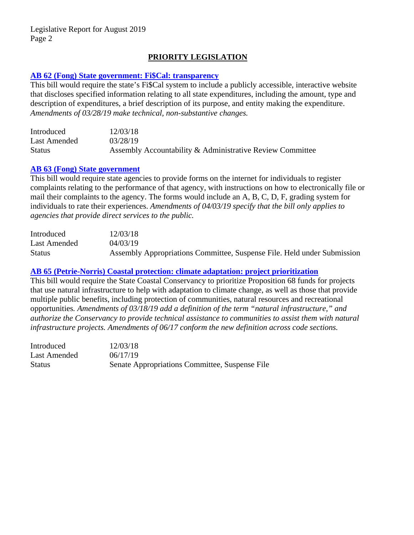# **PRIORITY LEGISLATION**

#### **[AB 62 \(Fong\) State government: Fi\\$Cal: transparency](http://leginfo.legislature.ca.gov/faces/billNavClient.xhtml?bill_id=201920200AB62)**

This bill would require the state's Fi\$Cal system to include a publicly accessible, interactive website that discloses specified information relating to all state expenditures, including the amount, type and description of expenditures, a brief description of its purpose, and entity making the expenditure. *Amendments of 03/28/19 make technical, non-substantive changes.*

| Introduced    | 12/03/18                                                  |
|---------------|-----------------------------------------------------------|
| Last Amended  | 03/28/19                                                  |
| <b>Status</b> | Assembly Accountability & Administrative Review Committee |

#### **[AB 63 \(Fong\) State government](http://leginfo.legislature.ca.gov/faces/billNavClient.xhtml?bill_id=201920200AB63)**

This bill would require state agencies to provide forms on the internet for individuals to register complaints relating to the performance of that agency, with instructions on how to electronically file or mail their complaints to the agency. The forms would include an A, B, C, D, F, grading system for individuals to rate their experiences. *Amendments of 04/03/19 specify that the bill only applies to agencies that provide direct services to the public.*

| Introduced    | 12/03/18                                                                |
|---------------|-------------------------------------------------------------------------|
| Last Amended  | 04/03/19                                                                |
| <b>Status</b> | Assembly Appropriations Committee, Suspense File. Held under Submission |

#### **[AB 65 \(Petrie-Norris\) Coastal protection: climate adaptation: project prioritization](http://leginfo.legislature.ca.gov/faces/billNavClient.xhtml?bill_id=201920200AB65)**

This bill would require the State Coastal Conservancy to prioritize Proposition 68 funds for projects that use natural infrastructure to help with adaptation to climate change, as well as those that provide multiple public benefits, including protection of communities, natural resources and recreational opportunities*. Amendments of 03/18/19 add a definition of the term "natural infrastructure," and authorize the Conservancy to provide technical assistance to communities to assist them with natural infrastructure projects. Amendments of 06/17 conform the new definition across code sections.* 

| Introduced   | 12/03/18                                       |
|--------------|------------------------------------------------|
| Last Amended | 06/17/19                                       |
| Status       | Senate Appropriations Committee, Suspense File |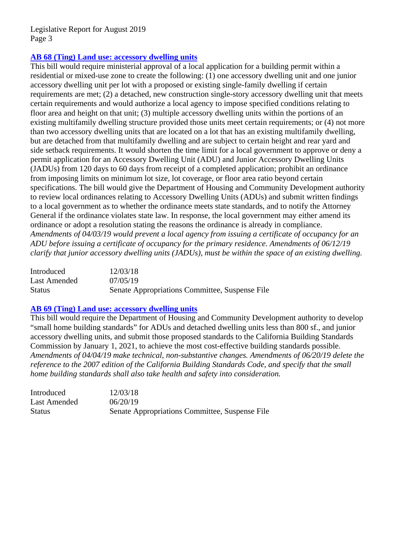## **[AB 68 \(Ting\) Land use: accessory dwelling units](http://leginfo.legislature.ca.gov/faces/billNavClient.xhtml?bill_id=201920200AB68)**

This bill would require ministerial approval of a local application for a building permit within a residential or mixed-use zone to create the following: (1) one accessory dwelling unit and one junior accessory dwelling unit per lot with a proposed or existing single-family dwelling if certain requirements are met; (2) a detached, new construction single-story accessory dwelling unit that meets certain requirements and would authorize a local agency to impose specified conditions relating to floor area and height on that unit; (3) multiple accessory dwelling units within the portions of an existing multifamily dwelling structure provided those units meet certain requirements; or (4) not more than two accessory dwelling units that are located on a lot that has an existing multifamily dwelling, but are detached from that multifamily dwelling and are subject to certain height and rear yard and side setback requirements. It would shorten the time limit for a local government to approve or deny a permit application for an Accessory Dwelling Unit (ADU) and Junior Accessory Dwelling Units (JADUs) from 120 days to 60 days from receipt of a completed application; prohibit an ordinance from imposing limits on minimum lot size, lot coverage, or floor area ratio beyond certain specifications. The bill would give the Department of Housing and Community Development authority to review local ordinances relating to Accessory Dwelling Units (ADUs) and submit written findings to a local government as to whether the ordinance meets state standards, and to notify the Attorney General if the ordinance violates state law. In response, the local government may either amend its ordinance or adopt a resolution stating the reasons the ordinance is already in compliance. *Amendments of 04/03/19 would prevent a local agency from issuing a certificate of occupancy for an ADU before issuing a certificate of occupancy for the primary residence. Amendments of 06/12/19 clarify that junior accessory dwelling units (JADUs), must be within the space of an existing dwelling.*

| Introduced    | 12/03/18                                       |
|---------------|------------------------------------------------|
| Last Amended  | 07/05/19                                       |
| <b>Status</b> | Senate Appropriations Committee, Suspense File |

# **[AB 69 \(Ting\) Land use: accessory dwelling units](http://leginfo.legislature.ca.gov/faces/billNavClient.xhtml?bill_id=201920200AB69)**

This bill would require the Department of Housing and Community Development authority to develop "small home building standards" for ADUs and detached dwelling units less than 800 sf., and junior accessory dwelling units, and submit those proposed standards to the California Building Standards Commission by January 1, 2021, to achieve the most cost-effective building standards possible. *Amendments of 04/04/19 make technical, non-substantive changes. Amendments of 06/20/19 delete the reference to the 2007 edition of the California Building Standards Code, and specify that the small home building standards shall also take health and safety into consideration.*

| Introduced    | 12/03/18                                       |
|---------------|------------------------------------------------|
| Last Amended  | 06/20/19                                       |
| <b>Status</b> | Senate Appropriations Committee, Suspense File |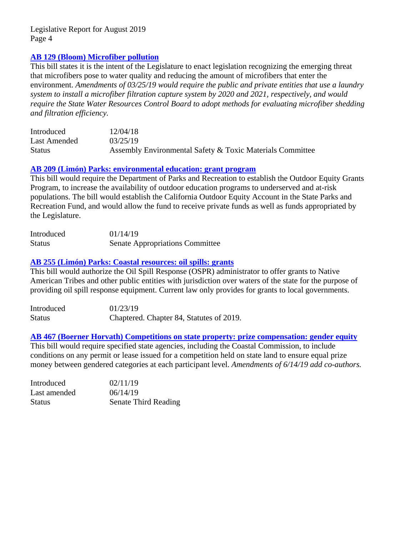## **[AB 129 \(Bloom\) Microfiber pollution](http://leginfo.legislature.ca.gov/faces/billNavClient.xhtml?bill_id=201920200AB129)**

This bill states it is the intent of the Legislature to enact legislation recognizing the emerging threat that microfibers pose to water quality and reducing the amount of microfibers that enter the environment. *Amendments of 03/25/19 would require the public and private entities that use a laundry system to install a microfiber filtration capture system by 2020 and 2021, respectively, and would require the State Water Resources Control Board to adopt methods for evaluating microfiber shedding and filtration efficiency.*

| Introduced    | 12/04/18                                                  |
|---------------|-----------------------------------------------------------|
| Last Amended  | 03/25/19                                                  |
| <b>Status</b> | Assembly Environmental Safety & Toxic Materials Committee |

## **AB 209 (Limón) [Parks: environmental education: grant program](http://leginfo.legislature.ca.gov/faces/billNavClient.xhtml?bill_id=201920200AB209)**

This bill would require the Department of Parks and Recreation to establish the Outdoor Equity Grants Program, to increase the availability of outdoor education programs to underserved and at-risk populations. The bill would establish the California Outdoor Equity Account in the State Parks and Recreation Fund, and would allow the fund to receive private funds as well as funds appropriated by the Legislature.

| Introduced    | 01/14/19                               |
|---------------|----------------------------------------|
| <b>Status</b> | <b>Senate Appropriations Committee</b> |

## **[AB 255 \(Limón\) Parks: Coastal resources: oil spills: grants](http://leginfo.legislature.ca.gov/faces/billNavClient.xhtml?bill_id=201920200AB255)**

This bill would authorize the Oil Spill Response (OSPR) administrator to offer grants to Native American Tribes and other public entities with jurisdiction over waters of the state for the purpose of providing oil spill response equipment. Current law only provides for grants to local governments.

| Introduced    | 01/23/19                                 |
|---------------|------------------------------------------|
| <b>Status</b> | Chaptered. Chapter 84, Statutes of 2019. |

#### **AB 467 (Boerner [Horvath\) Competitions on state property: prize compensation: gender equity](http://leginfo.legislature.ca.gov/faces/billNavClient.xhtml?bill_id=201920200AB467)** This bill would require specified state agencies, including the Coastal Commission, to include conditions on any permit or lease issued for a competition held on state land to ensure equal prize money between gendered categories at each participant level. *Amendments of 6/14/19 add co-authors.*

| Introduced    | 02/11/19                    |
|---------------|-----------------------------|
| Last amended  | 06/14/19                    |
| <b>Status</b> | <b>Senate Third Reading</b> |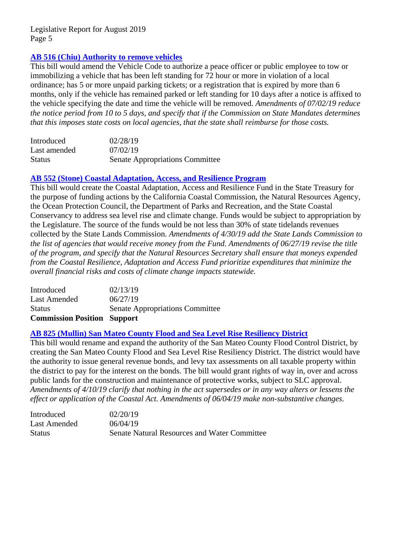## **[AB 516 \(Chiu\) Authority to remove vehicles](http://leginfo.legislature.ca.gov/faces/billNavClient.xhtml?bill_id=201920200AB516)**

This bill would amend the Vehicle Code to authorize a peace officer or public employee to tow or immobilizing a vehicle that has been left standing for 72 hour or more in violation of a local ordinance; has 5 or more unpaid parking tickets; or a registration that is expired by more than 6 months, only if the vehicle has remained parked or left standing for 10 days after a notice is affixed to the vehicle specifying the date and time the vehicle will be removed. *Amendments of 07/02/19 reduce the notice period from 10 to 5 days, and specify that if the Commission on State Mandates determines that this imposes state costs on local agencies, that the state shall reimburse for those costs.*

| Introduced    | 02/28/19                               |
|---------------|----------------------------------------|
| Last amended  | 07/02/19                               |
| <b>Status</b> | <b>Senate Appropriations Committee</b> |

#### **[AB 552 \(Stone\) Coastal Adaptation,](http://leginfo.legislature.ca.gov/faces/billNavClient.xhtml?bill_id=201920200AB552) Access, and Resilience Program**

This bill would create the Coastal Adaptation, Access and Resilience Fund in the State Treasury for the purpose of funding actions by the California Coastal Commission, the Natural Resources Agency, the Ocean Protection Council, the Department of Parks and Recreation, and the State Coastal Conservancy to address sea level rise and climate change. Funds would be subject to appropriation by the Legislature. The source of the funds would be not less than 30% of state tidelands revenues collected by the State Lands Commission. *Amendments of 4/30/19 add the State Lands Commission to the list of agencies that would receive money from the Fund. Amendments of 06/27/19 revise the title of the program, and specify that the Natural Resources Secretary shall ensure that moneys expended from the Coastal Resilience, Adaptation and Access Fund prioritize expenditures that minimize the overall financial risks and costs of climate change impacts statewide.*

| <b>Commission Position Support</b> |                                        |
|------------------------------------|----------------------------------------|
| <b>Status</b>                      | <b>Senate Appropriations Committee</b> |
| Last Amended                       | 06/27/19                               |
| Introduced                         | 02/13/19                               |

#### **[AB 825 \(Mullin\) San Mateo County Flood and Sea Level Rise Resiliency District](http://leginfo.legislature.ca.gov/faces/billNavClient.xhtml?bill_id=201920200AB825)**

This bill would rename and expand the authority of the San Mateo County Flood Control District, by creating the San Mateo County Flood and Sea Level Rise Resiliency District. The district would have the authority to issue general revenue bonds, and levy tax assessments on all taxable property within the district to pay for the interest on the bonds. The bill would grant rights of way in, over and across public lands for the construction and maintenance of protective works, subject to SLC approval. *Amendments of 4/10/19 clarify that nothing in the act supersedes or in any way alters or lessens the effect or application of the Coastal Act. Amendments of 06/04/19 make non-substantive changes.*

| Introduced    | 02/20/19                                            |
|---------------|-----------------------------------------------------|
| Last Amended  | 06/04/19                                            |
| <b>Status</b> | <b>Senate Natural Resources and Water Committee</b> |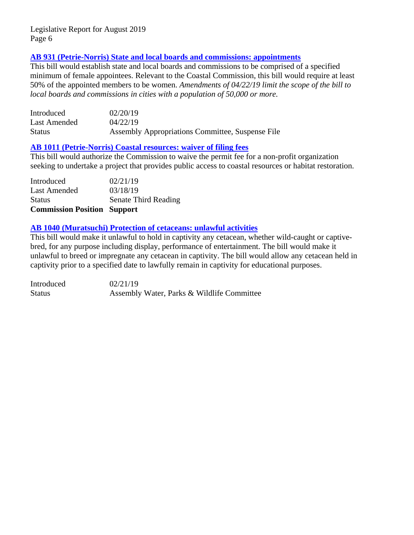## **[AB 931 \(Petrie-Norris\) State and local boards and commissions: appointments](http://leginfo.legislature.ca.gov/faces/billNavClient.xhtml?bill_id=201920200AB931)**

This bill would establish state and local boards and commissions to be comprised of a specified minimum of female appointees. Relevant to the Coastal Commission, this bill would require at least 50% of the appointed members to be women. *Amendments of 04/22/19 limit the scope of the bill to local boards and commissions in cities with a population of 50,000 or more.*

| Introduced    | 02/20/19                                         |
|---------------|--------------------------------------------------|
| Last Amended  | 04/22/19                                         |
| <b>Status</b> | Assembly Appropriations Committee, Suspense File |

#### **[AB 1011 \(Petrie-Norris\) Coastal resources: waiver of filing fees](http://leginfo.legislature.ca.gov/faces/billNavClient.xhtml?bill_id=201920200AB1011)**

This bill would authorize the Commission to waive the permit fee for a non-profit organization seeking to undertake a project that provides public access to coastal resources or habitat restoration.

| <b>Commission Position Support</b> |                             |
|------------------------------------|-----------------------------|
| <b>Status</b>                      | <b>Senate Third Reading</b> |
| Last Amended                       | 03/18/19                    |
| Introduced                         | 02/21/19                    |

## **[AB 1040 \(Muratsuchi\) Protection of cetaceans: unlawful activities](http://leginfo.legislature.ca.gov/faces/billNavClient.xhtml?bill_id=201920200AB1040)**

This bill would make it unlawful to hold in captivity any cetacean, whether wild-caught or captivebred, for any purpose including display, performance of entertainment. The bill would make it unlawful to breed or impregnate any cetacean in captivity. The bill would allow any cetacean held in captivity prior to a specified date to lawfully remain in captivity for educational purposes.

Introduced 02/21/19 Status **Assembly Water, Parks & Wildlife Committee**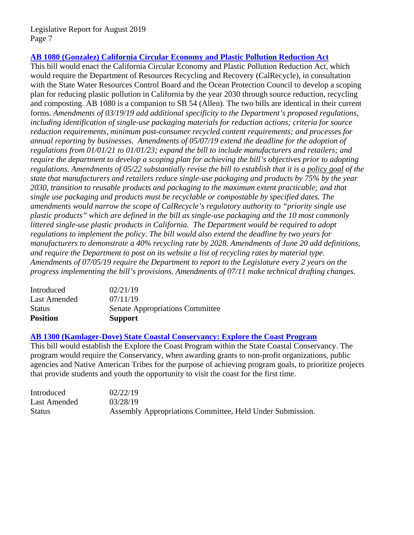## **[AB 1080 \(Gonzalez\) California Circular Economy and Plastic Pollution Reduction Act](http://leginfo.legislature.ca.gov/faces/billNavClient.xhtml?bill_id=201920200AB1080)**

This bill would enact the California Circular Economy and Plastic Pollution Reduction Act, which would require the Department of Resources Recycling and Recovery (CalRecycle), in consultation with the State Water Resources Control Board and the Ocean Protection Council to develop a scoping plan for reducing plastic pollution in California by the year 2030 through source reduction, recycling and composting. AB 1080 is a companion to SB 54 (Allen). The two bills are identical in their current forms. *Amendments of 03/19/19 add additional specificity to the Department's proposed regulations, including identification of single-use packaging materials for reduction actions; criteria for source reduction requirements, minimum post-consumer recycled content requirements; and processes for annual reporting by businesses. Amendments of 05/07/19 extend the deadline for the adoption of regulations from 01/01/21 to 01/01/23; expand the bill to include manufacturers and retailers; and require the department to develop a scoping plan for achieving the bill's objectives prior to adopting regulations. Amendments of 05/22 substantially revise the bill to establish that it is a policy goal of the state that manufacturers and retailers reduce single-use packaging and products by 75% by the year 2030, transition to reusable products and packaging to the maximum extent practicable; and that single use packaging and products must be recyclable or compostable by specified dates. The amendments would narrow the scope of CalRecycle's regulatory authority to "priority single use plastic products" which are defined in the bill as single-use packaging and the 10 most commonly littered single-use plastic products in California. The Department would be required to adopt regulations to implement the policy. The bill would also extend the deadline by two years for manufacturers to demonstrate a 40% recycling rate by 2028. Amendments of June 20 add definitions, and require the Department to post on its website a list of recycling rates by material type. Amendments of 07/05/19 require the Department to report to the Legislature every 2 years on the progress implementing the bill's provisions. Amendments of 07/11 make technical drafting changes.*

| Introduced      | 02/21/19                               |
|-----------------|----------------------------------------|
| Last Amended    | 07/11/19                               |
| <b>Status</b>   | <b>Senate Appropriations Committee</b> |
| <b>Position</b> | <b>Support</b>                         |

#### **[AB 1300 \(Kamlager-Dove\) State Coastal Conservancy: Explore the Coast Program](http://leginfo.legislature.ca.gov/faces/billNavClient.xhtml?bill_id=201920200AB1300)**

This bill would establish the Explore the Coast Program within the State Coastal Conservancy. The program would require the Conservancy, when awarding grants to non-profit organizations, public agencies and Native American Tribes for the purpose of achieving program goals, to prioritize projects that provide students and youth the opportunity to visit the coast for the first time.

| Introduced    | 02/22/19                                                  |
|---------------|-----------------------------------------------------------|
| Last Amended  | 03/28/19                                                  |
| <b>Status</b> | Assembly Appropriations Committee, Held Under Submission. |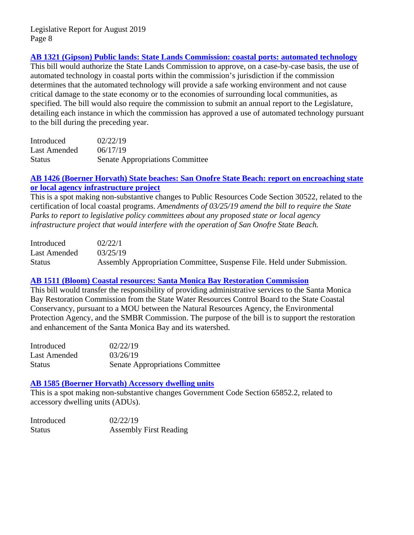## **[AB 1321 \(Gipson\) Public lands: State Lands Commission: coastal](http://leginfo.legislature.ca.gov/faces/billNavClient.xhtml?bill_id=201920200AB1321) ports: automated technology**

This bill would authorize the State Lands Commission to approve, on a case-by-case basis, the use of automated technology in coastal ports within the commission's jurisdiction if the commission determines that the automated technology will provide a safe working environment and not cause critical damage to the state economy or to the economies of surrounding local communities, as specified. The bill would also require the commission to submit an annual report to the Legislature, detailing each instance in which the commission has approved a use of automated technology pursuant to the bill during the preceding year.

| Introduced    | 02/22/19                               |
|---------------|----------------------------------------|
| Last Amended  | 06/17/19                               |
| <b>Status</b> | <b>Senate Appropriations Committee</b> |

### **AB 1426 (Boerner [Horvath\) State beaches: San Onofre State Beach: report on encroaching state](http://leginfo.legislature.ca.gov/faces/billNavClient.xhtml?bill_id=201920200AB1426)  [or local agency infrastructure project](http://leginfo.legislature.ca.gov/faces/billNavClient.xhtml?bill_id=201920200AB1426)**

This is a spot making non-substantive changes to Public Resources Code Section 30522, related to the certification of local coastal programs. *Amendments of 03/25/19 amend the bill to require the State Parks to report to legislative policy committees about any proposed state or local agency infrastructure project that would interfere with the operation of San Onofre State Beach.*

| Introduced    | 02/22/1                                                                 |
|---------------|-------------------------------------------------------------------------|
| Last Amended  | 03/25/19                                                                |
| <b>Status</b> | Assembly Appropriation Committee, Suspense File. Held under Submission. |

# **[AB 1511 \(Bloom\) Coastal resources: Santa Monica Bay Restoration Commission](http://leginfo.legislature.ca.gov/faces/billNavClient.xhtml?bill_id=201920200AB1511)**

This bill would transfer the responsibility of providing administrative services to the Santa Monica Bay Restoration Commission from the State Water Resources Control Board to the State Coastal Conservancy, pursuant to a MOU between the Natural Resources Agency, the Environmental Protection Agency, and the SMBR Commission. The purpose of the bill is to support the restoration and enhancement of the Santa Monica Bay and its watershed.

| Introduced   | 02/22/19                               |
|--------------|----------------------------------------|
| Last Amended | 03/26/19                               |
| Status       | <b>Senate Appropriations Committee</b> |

#### **[AB 1585 \(Boerner Horvath\) Accessory dwelling units](http://leginfo.legislature.ca.gov/faces/billNavClient.xhtml?bill_id=201920200AB1585)**

This is a spot making non-substantive changes Government Code Section 65852.2, related to accessory dwelling units (ADUs).

| Introduced    | 02/22/19                      |
|---------------|-------------------------------|
| <b>Status</b> | <b>Assembly First Reading</b> |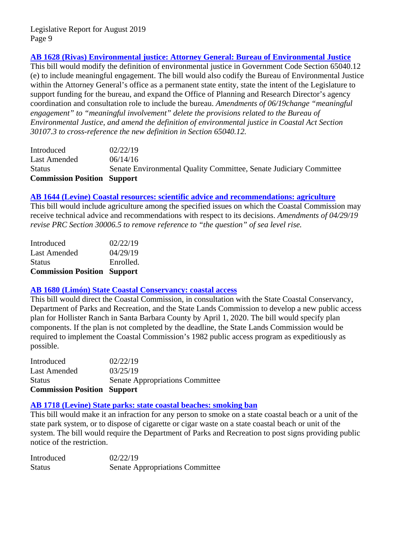# **AB 1628 (Rivas) Environmental justice: Attorney General: Bureau of Environmental Justice**

This bill would modify the definition of environmental justice in Government Code Section 65040.12 (e) to include meaningful engagement. The bill would also codify the Bureau of Environmental Justice within the Attorney General's office as a permanent state entity, state the intent of the Legislature to support funding for the bureau, and expand the Office of Planning and Research Director's agency coordination and consultation role to include the bureau. *Amendments of 06/19change "meaningful engagement" to "meaningful involvement" delete the provisions related to the Bureau of Environmental Justice, and amend the definition of environmental justice in Coastal Act Section 30107.3 to cross-reference the new definition in Section 65040.12.*

| Introduced<br>Last Amended         | 02/22/19<br>06/14/16                                               |
|------------------------------------|--------------------------------------------------------------------|
| <b>Status</b>                      | Senate Environmental Quality Committee, Senate Judiciary Committee |
| <b>Commission Position Support</b> |                                                                    |

#### **[AB 1644 \(Levine\) Coastal resources: scientific advice and recommendations: agriculture](http://leginfo.legislature.ca.gov/faces/billNavClient.xhtml?bill_id=201920200AB1644)**

This bill would include agriculture among the specified issues on which the Coastal Commission may receive technical advice and recommendations with respect to its decisions. *Amendments of 04/29/19 revise PRC Section 30006.5 to remove reference to "the question" of sea level rise.*

| <b>Commission Position Support</b> |           |
|------------------------------------|-----------|
| <b>Status</b>                      | Enrolled. |
| Last Amended                       | 04/29/19  |
| Introduced                         | 02/22/19  |

## **[AB 1680 \(Limón\) State Coastal Conservancy: coastal access](http://leginfo.legislature.ca.gov/faces/billNavClient.xhtml?bill_id=201920200AB1680)**

This bill would direct the Coastal Commission, in consultation with the State Coastal Conservancy, Department of Parks and Recreation, and the State Lands Commission to develop a new public access plan for Hollister Ranch in Santa Barbara County by April 1, 2020. The bill would specify plan components. If the plan is not completed by the deadline, the State Lands Commission would be required to implement the Coastal Commission's 1982 public access program as expeditiously as possible.

Introduced 02/22/19 Last Amended  $03/25/19$ Status Senate Appropriations Committee **Commission Position Support**

#### **[AB 1718 \(Levine\) State parks: state coastal beaches: smoking ban](http://leginfo.legislature.ca.gov/faces/billNavClient.xhtml?bill_id=201920200AB1718)**

This bill would make it an infraction for any person to smoke on a state coastal beach or a unit of the state park system, or to dispose of cigarette or cigar waste on a state coastal beach or unit of the system. The bill would require the Department of Parks and Recreation to post signs providing public notice of the restriction.

Introduced 02/22/19 Status Senate Appropriations Committee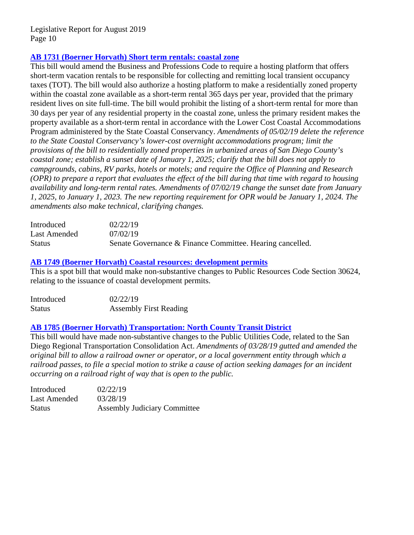## **AB 1731 (Boerner [Horvath\) Short term rentals: coastal zone](http://leginfo.legislature.ca.gov/faces/billNavClient.xhtml?bill_id=201920200AB1731)**

This bill would amend the Business and Professions Code to require a hosting platform that offers short-term vacation rentals to be responsible for collecting and remitting local transient occupancy taxes (TOT). The bill would also authorize a hosting platform to make a residentially zoned property within the coastal zone available as a short-term rental 365 days per year, provided that the primary resident lives on site full-time. The bill would prohibit the listing of a short-term rental for more than 30 days per year of any residential property in the coastal zone, unless the primary resident makes the property available as a short-term rental in accordance with the Lower Cost Coastal Accommodations Program administered by the State Coastal Conservancy. *Amendments of 05/02/19 delete the reference to the State Coastal Conservancy's lower-cost overnight accommodations program; limit the provisions of the bill to residentially zoned properties in urbanized areas of San Diego County's coastal zone; establish a sunset date of January 1, 2025; clarify that the bill does not apply to campgrounds, cabins, RV parks, hotels or motels; and require the Office of Planning and Research (OPR) to prepare a report that evaluates the effect of the bill during that time with regard to housing availability and long-term rental rates. Amendments of 07/02/19 change the sunset date from January 1, 2025, to January 1, 2023. The new reporting requirement for OPR would be January 1, 2024. The amendments also make technical, clarifying changes.*

| Introduced    | 02/22/19                                                  |
|---------------|-----------------------------------------------------------|
| Last Amended  | 07/02/19                                                  |
| <b>Status</b> | Senate Governance & Finance Committee. Hearing cancelled. |

#### **AB 1749 (Boerner [Horvath\) Coastal resources: development permits](http://leginfo.legislature.ca.gov/faces/billNavClient.xhtml?bill_id=201920200AB1749)**

This is a spot bill that would make non-substantive changes to Public Resources Code Section 30624, relating to the issuance of coastal development permits.

| Introduced    | 02/22/19                      |
|---------------|-------------------------------|
| <b>Status</b> | <b>Assembly First Reading</b> |

#### **AB 1785 (Boerner [Horvath\) Transportation: North County Transit](http://leginfo.legislature.ca.gov/faces/billNavClient.xhtml?bill_id=201920200AB1785) District**

This bill would have made non-substantive changes to the Public Utilities Code, related to the San Diego Regional Transportation Consolidation Act. *Amendments of 03/28/19 gutted and amended the original bill to allow a railroad owner or operator, or a local government entity through which a railroad passes, to file a special motion to strike a cause of action seeking damages for an incident occurring on a railroad right of way that is open to the public.*

| Introduced    | 02/22/19                            |
|---------------|-------------------------------------|
| Last Amended  | 03/28/19                            |
| <b>Status</b> | <b>Assembly Judiciary Committee</b> |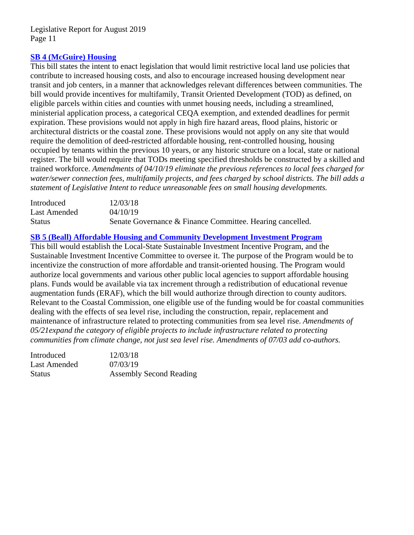## **[SB 4 \(McGuire\) Housing](http://leginfo.legislature.ca.gov/faces/billNavClient.xhtml?bill_id=201920200SB4)**

This bill states the intent to enact legislation that would limit restrictive local land use policies that contribute to increased housing costs, and also to encourage increased housing development near transit and job centers, in a manner that acknowledges relevant differences between communities. The bill would provide incentives for multifamily, Transit Oriented Development (TOD) as defined, on eligible parcels within cities and counties with unmet housing needs, including a streamlined, ministerial application process, a categorical CEQA exemption, and extended deadlines for permit expiration. These provisions would not apply in high fire hazard areas, flood plains, historic or architectural districts or the coastal zone. These provisions would not apply on any site that would require the demolition of deed-restricted affordable housing, rent-controlled housing, housing occupied by tenants within the previous 10 years, or any historic structure on a local, state or national register. The bill would require that TODs meeting specified thresholds be constructed by a skilled and trained workforce. *Amendments of 04/10/19 eliminate the previous references to local fees charged for water/sewer connection fees, multifamily projects, and fees charged by school districts. The bill adds a statement of Legislative Intent to reduce unreasonable fees on small housing developments.*

| Introduced    | 12/03/18                                                  |
|---------------|-----------------------------------------------------------|
| Last Amended  | 04/10/19                                                  |
| <b>Status</b> | Senate Governance & Finance Committee. Hearing cancelled. |

## **[SB 5 \(Beall\) Affordable Housing and Community Development](http://leginfo.legislature.ca.gov/faces/billNavClient.xhtml?bill_id=201920200SB5) Investment Program**

This bill would establish the Local-State Sustainable Investment Incentive Program, and the Sustainable Investment Incentive Committee to oversee it. The purpose of the Program would be to incentivize the construction of more affordable and transit-oriented housing. The Program would authorize local governments and various other public local agencies to support affordable housing plans. Funds would be available via tax increment through a redistribution of educational revenue augmentation funds (ERAF), which the bill would authorize through direction to county auditors. Relevant to the Coastal Commission, one eligible use of the funding would be for coastal communities dealing with the effects of sea level rise, including the construction, repair, replacement and maintenance of infrastructure related to protecting communities from sea level rise. *Amendments of 05/21expand the category of eligible projects to include infrastructure related to protecting communities from climate change, not just sea level rise. Amendments of 07/03 add co-authors.*

| Introduced   | 12/03/18                       |
|--------------|--------------------------------|
| Last Amended | 07/03/19                       |
| Status       | <b>Assembly Second Reading</b> |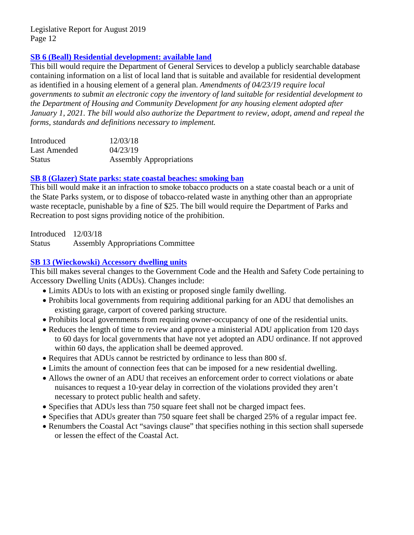# **[SB 6 \(Beall\) Residential development: available land](http://leginfo.legislature.ca.gov/faces/billNavClient.xhtml?bill_id=201920200SB6)**

This bill would require the Department of General Services to develop a publicly searchable database containing information on a list of local land that is suitable and available for residential development as identified in a housing element of a general plan. *Amendments of 04/23/19 require local governments to submit an electronic copy the inventory of land suitable for residential development to the Department of Housing and Community Development for any housing element adopted after January 1, 2021. The bill would also authorize the Department to review, adopt, amend and repeal the forms, standards and definitions necessary to implement.*

| Introduced    | 12/03/18                       |
|---------------|--------------------------------|
| Last Amended  | 04/23/19                       |
| <b>Status</b> | <b>Assembly Appropriations</b> |

## **[SB 8 \(Glazer\) State parks: state coastal beaches: smoking ban](http://leginfo.legislature.ca.gov/faces/billNavClient.xhtml?bill_id=201920200SB8)**

This bill would make it an infraction to smoke tobacco products on a state coastal beach or a unit of the State Parks system, or to dispose of tobacco-related waste in anything other than an appropriate waste receptacle, punishable by a fine of \$25. The bill would require the Department of Parks and Recreation to post signs providing notice of the prohibition.

Introduced 12/03/18 Status Assembly Appropriations Committee

# **[SB 13 \(Wieckowski\) Accessory dwelling units](http://leginfo.legislature.ca.gov/faces/billNavClient.xhtml?bill_id=201920200SB13)**

This bill makes several changes to the Government Code and the Health and Safety Code pertaining to Accessory Dwelling Units (ADUs). Changes include:

- Limits ADUs to lots with an existing or proposed single family dwelling.
- Prohibits local governments from requiring additional parking for an ADU that demolishes an existing garage, carport of covered parking structure.
- Prohibits local governments from requiring owner-occupancy of one of the residential units.
- Reduces the length of time to review and approve a ministerial ADU application from 120 days to 60 days for local governments that have not yet adopted an ADU ordinance. If not approved within 60 days, the application shall be deemed approved.
- Requires that ADUs cannot be restricted by ordinance to less than 800 sf.
- Limits the amount of connection fees that can be imposed for a new residential dwelling.
- Allows the owner of an ADU that receives an enforcement order to correct violations or abate nuisances to request a 10-year delay in correction of the violations provided they aren't necessary to protect public health and safety.
- Specifies that ADUs less than 750 square feet shall not be charged impact fees.
- Specifies that ADUs greater than 750 square feet shall be charged 25% of a regular impact fee.
- Renumbers the Coastal Act "savings clause" that specifies nothing in this section shall supersede or lessen the effect of the Coastal Act.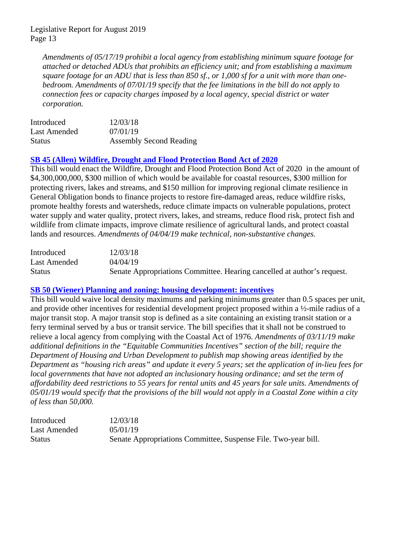*Amendments of 05/17/19 prohibit a local agency from establishing minimum square footage for attached or detached ADUs that prohibits an efficiency unit; and from establishing a maximum square footage for an ADU that is less than 850 sf., or 1,000 sf for a unit with more than onebedroom. Amendments of 07/01/19 specify that the fee limitations in the bill do not apply to connection fees or capacity charges imposed by a local agency, special district or water corporation.*

| Introduced    | 12/03/18                       |
|---------------|--------------------------------|
| Last Amended  | 07/01/19                       |
| <b>Status</b> | <b>Assembly Second Reading</b> |

# **[SB 45 \(Allen\) Wildfire, Drought and Flood Protection Bond Act of 2020](http://leginfo.legislature.ca.gov/faces/billNavClient.xhtml?bill_id=201920200SB45)**

This bill would enact the Wildfire, Drought and Flood Protection Bond Act of 2020 in the amount of \$4,300,000,000, \$300 million of which would be available for coastal resources, \$300 million for protecting rivers, lakes and streams, and \$150 million for improving regional climate resilience in General Obligation bonds to finance projects to restore fire-damaged areas, reduce wildfire risks, promote healthy forests and watersheds, reduce climate impacts on vulnerable populations, protect water supply and water quality, protect rivers, lakes, and streams, reduce flood risk, protect fish and wildlife from climate impacts, improve climate resilience of agricultural lands, and protect coastal lands and resources. *Amendments of 04/04/19 make technical, non-substantive changes.*

| Introduced    | 12/03/18                                                                |
|---------------|-------------------------------------------------------------------------|
| Last Amended  | 04/04/19                                                                |
| <b>Status</b> | Senate Appropriations Committee. Hearing cancelled at author's request. |

#### **[SB 50 \(Wiener\) Planning and zoning: housing development: incentives](http://leginfo.legislature.ca.gov/faces/billNavClient.xhtml?bill_id=201920200SB50)**

This bill would waive local density maximums and parking minimums greater than 0.5 spaces per unit, and provide other incentives for residential development project proposed within a ½-mile radius of a major transit stop. A major transit stop is defined as a site containing an existing transit station or a ferry terminal served by a bus or transit service. The bill specifies that it shall not be construed to relieve a local agency from complying with the Coastal Act of 1976. *Amendments of 03/11/19 make additional definitions in the "Equitable Communities Incentives" section of the bill; require the Department of Housing and Urban Development to publish map showing areas identified by the Department as "housing rich areas" and update it every 5 years; set the application of in-lieu fees for local governments that have not adopted an inclusionary housing ordinance; and set the term of affordability deed restrictions to 55 years for rental units and 45 years for sale units. Amendments of 05/01/19 would specify that the provisions of the bill would not apply in a Coastal Zone within a city of less than 50,000.*

| Introduced    | 12/03/18                                                       |
|---------------|----------------------------------------------------------------|
| Last Amended  | 05/01/19                                                       |
| <b>Status</b> | Senate Appropriations Committee, Suspense File. Two-year bill. |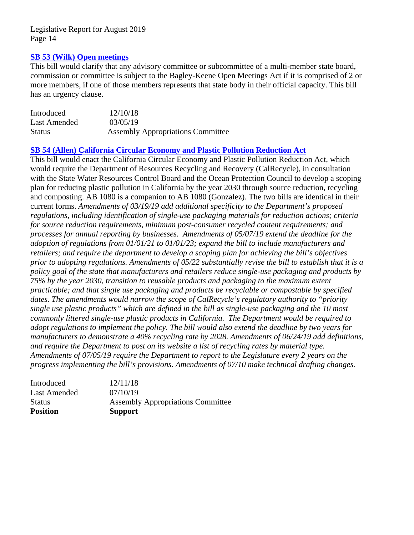### **[SB 53 \(Wilk\) Open meetings](http://leginfo.legislature.ca.gov/faces/billNavClient.xhtml?bill_id=201920200SB53)**

This bill would clarify that any advisory committee or subcommittee of a multi-member state board, commission or committee is subject to the Bagley-Keene Open Meetings Act if it is comprised of 2 or more members, if one of those members represents that state body in their official capacity. This bill has an urgency clause.

| Introduced    | 12/10/18                                 |
|---------------|------------------------------------------|
| Last Amended  | 03/05/19                                 |
| <b>Status</b> | <b>Assembly Appropriations Committee</b> |

## **SB 54 (Allen) [California Circular Economy and Plastic Pollution Reduction Act](http://leginfo.legislature.ca.gov/faces/billNavClient.xhtml?bill_id=201920200SB54)**

This bill would enact the California Circular Economy and Plastic Pollution Reduction Act, which would require the Department of Resources Recycling and Recovery (CalRecycle), in consultation with the State Water Resources Control Board and the Ocean Protection Council to develop a scoping plan for reducing plastic pollution in California by the year 2030 through source reduction, recycling and composting. AB 1080 is a companion to AB 1080 (Gonzalez). The two bills are identical in their current forms. *Amendments of 03/19/19 add additional specificity to the Department's proposed regulations, including identification of single-use packaging materials for reduction actions; criteria for source reduction requirements, minimum post-consumer recycled content requirements; and processes for annual reporting by businesses. Amendments of 05/07/19 extend the deadline for the adoption of regulations from 01/01/21 to 01/01/23; expand the bill to include manufacturers and retailers; and require the department to develop a scoping plan for achieving the bill's objectives prior to adopting regulations. Amendments of 05/22 substantially revise the bill to establish that it is a policy goal of the state that manufacturers and retailers reduce single-use packaging and products by 75% by the year 2030, transition to reusable products and packaging to the maximum extent practicable; and that single use packaging and products be recyclable or compostable by specified dates. The amendments would narrow the scope of CalRecycle's regulatory authority to "priority single use plastic products" which are defined in the bill as single-use packaging and the 10 most commonly littered single-use plastic products in California. The Department would be required to adopt regulations to implement the policy. The bill would also extend the deadline by two years for manufacturers to demonstrate a 40% recycling rate by 2028. Amendments of 06/24/19 add definitions, and require the Department to post on its website a list of recycling rates by material type. Amendments of 07/05/19 require the Department to report to the Legislature every 2 years on the progress implementing the bill's provisions. Amendments of 07/10 make technical drafting changes.*

| <b>Position</b> | <b>Support</b>                           |
|-----------------|------------------------------------------|
| <b>Status</b>   | <b>Assembly Appropriations Committee</b> |
| Last Amended    | 07/10/19                                 |
| Introduced      | 12/11/18                                 |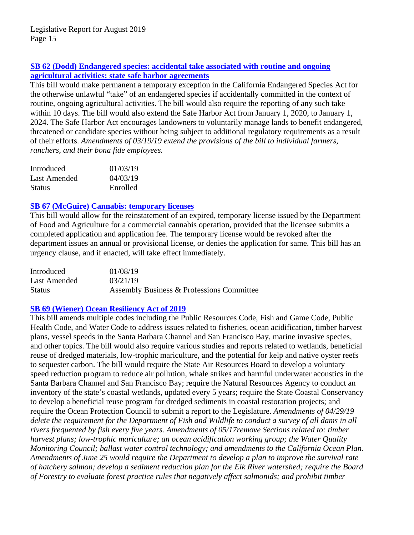# **[SB 62 \(Dodd\) Endangered species: accidental take](http://leginfo.legislature.ca.gov/faces/billNavClient.xhtml?bill_id=201920200SB62) associated with routine and ongoing [agricultural activities: state safe harbor agreements](http://leginfo.legislature.ca.gov/faces/billNavClient.xhtml?bill_id=201920200SB62)**

This bill would make permanent a temporary exception in the California Endangered Species Act for the otherwise unlawful "take" of an endangered species if accidentally committed in the context of routine, ongoing agricultural activities. The bill would also require the reporting of any such take within 10 days. The bill would also extend the Safe Harbor Act from January 1, 2020, to January 1, 2024. The Safe Harbor Act encourages landowners to voluntarily manage lands to benefit endangered, threatened or candidate species without being subject to additional regulatory requirements as a result of their efforts. *Amendments of 03/19/19 extend the provisions of the bill to individual farmers, ranchers, and their bona fide employees.* 

| Introduced    | 01/03/19 |
|---------------|----------|
| Last Amended  | 04/03/19 |
| <b>Status</b> | Enrolled |

# **[SB 67 \(McGuire\) Cannabis: temporary licenses](http://leginfo.legislature.ca.gov/faces/billNavClient.xhtml?bill_id=201920200SB67)**

This bill would allow for the reinstatement of an expired, temporary license issued by the Department of Food and Agriculture for a commercial cannabis operation, provided that the licensee submits a completed application and application fee. The temporary license would be revoked after the department issues an annual or provisional license, or denies the application for same. This bill has an urgency clause, and if enacted, will take effect immediately.

| Introduced    | 01/08/19                                  |
|---------------|-------------------------------------------|
| Last Amended  | 03/21/19                                  |
| <b>Status</b> | Assembly Business & Professions Committee |

# **[SB 69 \(Wiener\) Ocean Resiliency](http://leginfo.legislature.ca.gov/faces/billTextClient.xhtml?bill_id=201920200SB69) Act of 2019**

This bill amends multiple codes including the Public Resources Code, Fish and Game Code, Public Health Code, and Water Code to address issues related to fisheries, ocean acidification, timber harvest plans, vessel speeds in the Santa Barbara Channel and San Francisco Bay, marine invasive species, and other topics. The bill would also require various studies and reports related to wetlands, beneficial reuse of dredged materials, low-trophic mariculture, and the potential for kelp and native oyster reefs to sequester carbon. The bill would require the State Air Resources Board to develop a voluntary speed reduction program to reduce air pollution, whale strikes and harmful underwater acoustics in the Santa Barbara Channel and San Francisco Bay; require the Natural Resources Agency to conduct an inventory of the state's coastal wetlands, updated every 5 years; require the State Coastal Conservancy to develop a beneficial reuse program for dredged sediments in coastal restoration projects; and require the Ocean Protection Council to submit a report to the Legislature. *Amendments of 04/29/19 delete the requirement for the Department of Fish and Wildlife to conduct a survey of all dams in all rivers frequented by fish every five years. Amendments of 05/17remove Sections related to: timber harvest plans; low-trophic mariculture; an ocean acidification working group; the Water Quality Monitoring Council; ballast water control technology; and amendments to the California Ocean Plan. Amendments of June 25 would require the Department to develop a plan to improve the survival rate of hatchery salmon; develop a sediment reduction plan for the Elk River watershed; require the Board of Forestry to evaluate forest practice rules that negatively affect salmonids; and prohibit timber*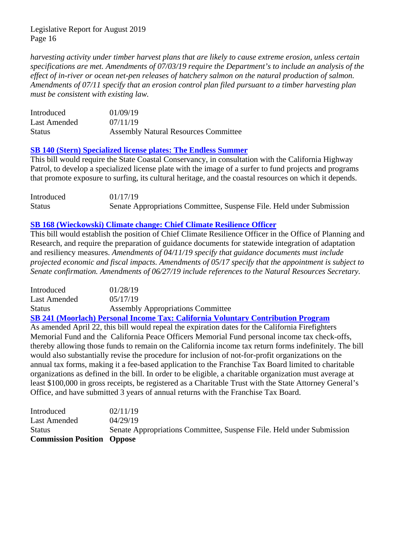*harvesting activity under timber harvest plans that are likely to cause extreme erosion, unless certain specifications are met. Amendments of 07/03/19 require the Department's to include an analysis of the effect of in-river or ocean net-pen releases of hatchery salmon on the natural production of salmon. Amendments of 07/11 specify that an erosion control plan filed pursuant to a timber harvesting plan must be consistent with existing law.*

| Introduced    | 01/09/19                                    |
|---------------|---------------------------------------------|
| Last Amended  | 07/11/19                                    |
| <b>Status</b> | <b>Assembly Natural Resources Committee</b> |

#### **[SB 140 \(Stern\) Specialized license plates: The Endless Summer](http://leginfo.legislature.ca.gov/faces/billNavClient.xhtml?bill_id=201920200SB140)**

This bill would require the State Coastal Conservancy, in consultation with the California Highway Patrol, to develop a specialized license plate with the image of a surfer to fund projects and programs that promote exposure to surfing, its cultural heritage, and the coastal resources on which it depends.

| Introduced    | 01/17/19                                                              |
|---------------|-----------------------------------------------------------------------|
| <b>Status</b> | Senate Appropriations Committee, Suspense File. Held under Submission |

# **[SB 168 \(Wieckowski\) Climate change: Chief Climate Resilience Officer](http://leginfo.legislature.ca.gov/faces/billNavClient.xhtml?bill_id=201920200SB168)**

This bill would establish the position of Chief Climate Resilience Officer in the Office of Planning and Research, and require the preparation of guidance documents for statewide integration of adaptation and resiliency measures. *Amendments of 04/11/19 specify that guidance documents must include projected economic and fiscal impacts. Amendments of 05/17 specify that the appointment is subject to Senate confirmation. Amendments of 06/27/19 include references to the Natural Resources Secretary.* 

| Introduced   | 01/28/19                                 |
|--------------|------------------------------------------|
| Last Amended | 05/17/19                                 |
| Status       | <b>Assembly Appropriations Committee</b> |

**[SB 241 \(Moorlach\) Personal Income Tax: California Voluntary Contribution Program](http://leginfo.legislature.ca.gov/faces/billNavClient.xhtml?bill_id=201920200SB241)** As amended April 22, this bill would repeal the expiration dates for the California Firefighters Memorial Fund and the California Peace Officers Memorial Fund personal income tax check-offs, thereby allowing those funds to remain on the California income tax return forms indefinitely. The bill would also substantially revise the procedure for inclusion of not-for-profit organizations on the annual tax forms, making it a fee-based application to the Franchise Tax Board limited to charitable organizations as defined in the bill. In order to be eligible, a charitable organization must average at least \$100,000 in gross receipts, be registered as a Charitable Trust with the State Attorney General's Office, and have submitted 3 years of annual returns with the Franchise Tax Board.

| <b>Commission Position Oppose</b> |                                                                       |
|-----------------------------------|-----------------------------------------------------------------------|
| <b>Status</b>                     | Senate Appropriations Committee, Suspense File. Held under Submission |
| Last Amended                      | 04/29/19                                                              |
| Introduced                        | 02/11/19                                                              |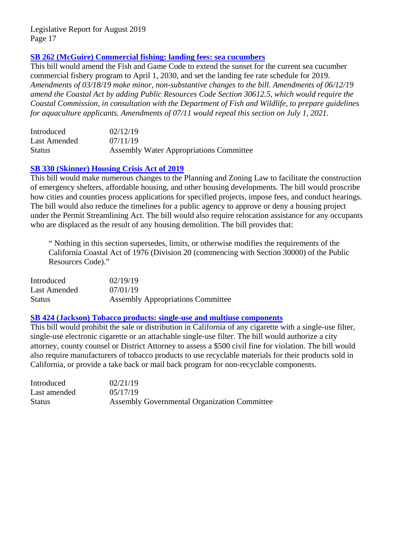## **[SB 262 \(McGuire\) Commercial fishing: landing fees: sea cucumbers](http://leginfo.legislature.ca.gov/faces/billNavClient.xhtml?bill_id=201920200SB262)**

This bill would amend the Fish and Game Code to extend the sunset for the current sea cucumber commercial fishery program to April 1, 2030, and set the landing fee rate schedule for 2019. *Amendments of 03/18/19 make minor, non-substantive changes to the bill. Amendments of 06/12/19 amend the Coastal Act by adding Public Resources Code Section 30612.5, which would require the Coastal Commission, in consultation with the Department of Fish and Wildlife, to prepare guidelines for aquaculture applicants. Amendments of 07/11 would repeal this section on July 1, 2021.*

| Introduced    | 02/12/19                                       |
|---------------|------------------------------------------------|
| Last Amended  | 07/11/19                                       |
| <b>Status</b> | <b>Assembly Water Appropriations Committee</b> |

### **[SB 330 \(Skinner\) Housing Crisis Act of 2019](http://leginfo.legislature.ca.gov/faces/billNavClient.xhtml?bill_id=201920200SB330)**

This bill would make numerous changes to the Planning and Zoning Law to facilitate the construction of emergency shelters, affordable housing, and other housing developments. The bill would proscribe how cities and counties process applications for specified projects, impose fees, and conduct hearings. The bill would also reduce the timelines for a public agency to approve or deny a housing project under the Permit Streamlining Act. The bill would also require relocation assistance for any occupants who are displaced as the result of any housing demolition. The bill provides that:

" Nothing in this section supersedes, limits, or otherwise modifies the requirements of the California Coastal Act of 1976 (Division 20 (commencing with Section 30000) of the Public Resources Code)."

| Introduced   | 02/19/19                                 |
|--------------|------------------------------------------|
| Last Amended | 07/01/19                                 |
| Status       | <b>Assembly Appropriations Committee</b> |

#### **[SB 424 \(Jackson\) Tobacco products: single-use and multiuse components](http://leginfo.legislature.ca.gov/faces/billNavClient.xhtml?bill_id=201920200SB424)**

This bill would prohibit the sale or distribution in California of any cigarette with a single-use filter, single-use electronic cigarette or an attachable single-use filter. The bill would authorize a city attorney, county counsel or District Attorney to assess a \$500 civil fine for violation. The bill would also require manufacturers of tobacco products to use recyclable materials for their products sold in California, or provide a take back or mail back program for non-recyclable components.

| Introduced    | 02/21/19                                            |
|---------------|-----------------------------------------------------|
| Last amended  | 05/17/19                                            |
| <b>Status</b> | <b>Assembly Governmental Organization Committee</b> |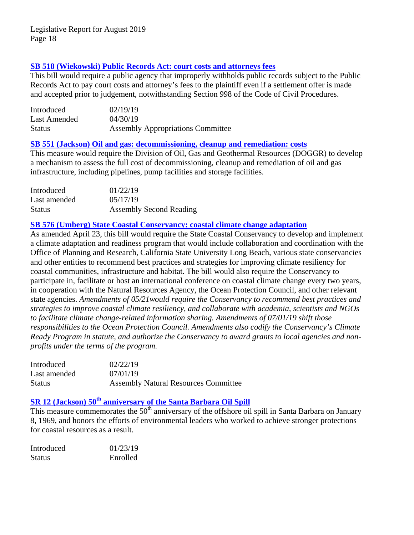## **[SB 518 \(Wiekowski\) Public Records Act: court costs and attorneys fees](http://leginfo.legislature.ca.gov/faces/billTextClient.xhtml?bill_id=201920200SB518)**

This bill would require a public agency that improperly withholds public records subject to the Public Records Act to pay court costs and attorney's fees to the plaintiff even if a settlement offer is made and accepted prior to judgement, notwithstanding Section 998 of the Code of Civil Procedures.

| Introduced    | 02/19/19                                 |
|---------------|------------------------------------------|
| Last Amended  | 04/30/19                                 |
| <b>Status</b> | <b>Assembly Appropriations Committee</b> |

#### **[SB 551 \(Jackson\) Oil and gas: decommissioning, cleanup and remediation: costs](http://leginfo.legislature.ca.gov/faces/billNavClient.xhtml?bill_id=201920200SB551)**

This measure would require the Division of Oil, Gas and Geothermal Resources (DOGGR) to develop a mechanism to assess the full cost of decommissioning, cleanup and remediation of oil and gas infrastructure, including pipelines, pump facilities and storage facilities.

| Introduced    | 01/22/19                       |
|---------------|--------------------------------|
| Last amended  | 05/17/19                       |
| <b>Status</b> | <b>Assembly Second Reading</b> |

## **[SB 576 \(Umberg\) State Coastal Conservancy: coastal climate change adaptation](http://leginfo.legislature.ca.gov/faces/billNavClient.xhtml?bill_id=201920200SB576)**

As amended April 23, this bill would require the State Coastal Conservancy to develop and implement a climate adaptation and readiness program that would include collaboration and coordination with the Office of Planning and Research, California State University Long Beach, various state conservancies and other entities to recommend best practices and strategies for improving climate resiliency for coastal communities, infrastructure and habitat. The bill would also require the Conservancy to participate in, facilitate or host an international conference on coastal climate change every two years, in cooperation with the Natural Resources Agency, the Ocean Protection Council, and other relevant state agencies. *Amendments of 05/21would require the Conservancy to recommend best practices and strategies to improve coastal climate resiliency, and collaborate with academia, scientists and NGOs to facilitate climate change-related information sharing. Amendments of 07/01/19 shift those responsibilities to the Ocean Protection Council. Amendments also codify the Conservancy's Climate Ready Program in statute, and authorize the Conservancy to award grants to local agencies and nonprofits under the terms of the program.*

| Introduced    | 02/22/19                                    |
|---------------|---------------------------------------------|
| Last amended  | 07/01/19                                    |
| <b>Status</b> | <b>Assembly Natural Resources Committee</b> |

# **SR 12 (Jackson) 50th [anniversary of the Santa Barbara Oil Spill](http://leginfo.legislature.ca.gov/faces/billTextClient.xhtml?bill_id=201920200SR12)**

This measure commemorates the  $50<sup>th</sup>$  anniversary of the offshore oil spill in Santa Barbara on January 8, 1969, and honors the efforts of environmental leaders who worked to achieve stronger protections for coastal resources as a result.

| Introduced    | 01/23/19 |
|---------------|----------|
| <b>Status</b> | Enrolled |